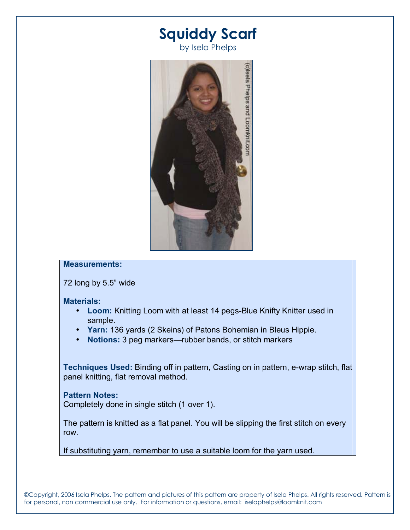# **Squiddy Scarf**

by Isela Phelps



## **Measurements:**

 $72$  long by  $5.5$ " wide

#### **Materials:**

- **Loom:** Knitting Loom with at least 14 pegs-Blue Knifty Knitter used in sample.
- **Yarn:** 136 yards (2 Skeins) of Patons Bohemian in Bleus Hippie.
- **Notions:** 3 peg markers—rubber bands, or stitch markers

**Techniques Used:** Binding off in pattern, Casting on in pattern, e-wrap stitch, flat panel knitting, flat removal method.

### **Pattern Notes:**

Completely done in single stitch (1 over 1).

The pattern is knitted as a flat panel. You will be slipping the first stitch on every row.

If substituting yarn, remember to use a suitable loom for the yarn used.

©Copyright, 2006 Isela Phelps. The pattern and pictures of this pattern are property of Isela Phelps. All rights reserved. Pattern is for personal, non commercial use only. For information or questions, email: iselaphelps@loomknit.com